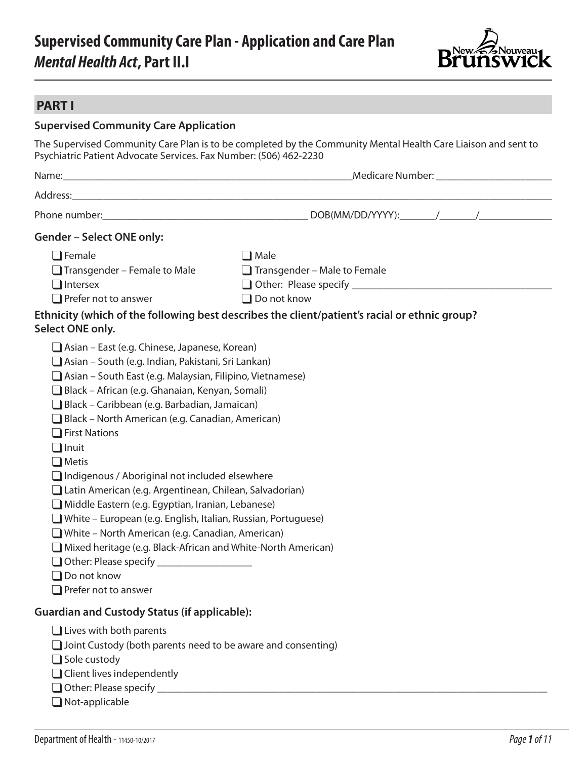# **Supervised Community Care Plan - Application and Care Plan** *Mental Health Act***, Part II.I**



### **PART I**

### **Supervised Community Care Application**

The Supervised Community Care Plan is to be completed by the Community Mental Health Care Liaison and sent to Psychiatric Patient Advocate Services. Fax Number: (506) 462-2230

| <b>Gender - Select ONE only:</b>                                                                                                                                                                                                                                                                                                                                                                                                                                                                                                                                                                                                                                                                                                                                                                                                                                |                                                                                                                                                                           |
|-----------------------------------------------------------------------------------------------------------------------------------------------------------------------------------------------------------------------------------------------------------------------------------------------------------------------------------------------------------------------------------------------------------------------------------------------------------------------------------------------------------------------------------------------------------------------------------------------------------------------------------------------------------------------------------------------------------------------------------------------------------------------------------------------------------------------------------------------------------------|---------------------------------------------------------------------------------------------------------------------------------------------------------------------------|
| $\Box$ Female<br>$\Box$ Transgender – Female to Male<br>$\Box$ Intersex<br>$\Box$ Prefer not to answer<br>Select ONE only.                                                                                                                                                                                                                                                                                                                                                                                                                                                                                                                                                                                                                                                                                                                                      | $\Box$ Male<br>$\Box$ Transgender – Male to Female<br>$\Box$ Do not know<br>Ethnicity (which of the following best describes the client/patient's racial or ethnic group? |
| $\Box$ Asian – East (e.g. Chinese, Japanese, Korean)<br>Asian – South (e.g. Indian, Pakistani, Sri Lankan)<br>Asian – South East (e.g. Malaysian, Filipino, Vietnamese)<br>Black - African (e.g. Ghanaian, Kenyan, Somali)<br>$\Box$ Black – Caribbean (e.g. Barbadian, Jamaican)<br>Black – North American (e.g. Canadian, American)<br>$\Box$ First Nations<br>$\Box$ Inuit<br>$\Box$ Metis<br>Indigenous / Aboriginal not included elsewhere<br>Latin American (e.g. Argentinean, Chilean, Salvadorian)<br>Middle Eastern (e.g. Egyptian, Iranian, Lebanese)<br>$\Box$ White – European (e.g. English, Italian, Russian, Portuguese)<br>White – North American (e.g. Canadian, American)<br>Mixed heritage (e.g. Black-African and White-North American)<br>Other: Please specify _____________________<br>$\Box$ Do not know<br>$\Box$ Prefer not to answer |                                                                                                                                                                           |
| <b>Guardian and Custody Status (if applicable):</b><br>$\Box$ Lives with both parents<br>$\Box$ Joint Custody (both parents need to be aware and consenting)<br>$\Box$ Sole custody<br>$\Box$ Client lives independently                                                                                                                                                                                                                                                                                                                                                                                                                                                                                                                                                                                                                                        |                                                                                                                                                                           |

 $\Box$  Not-applicable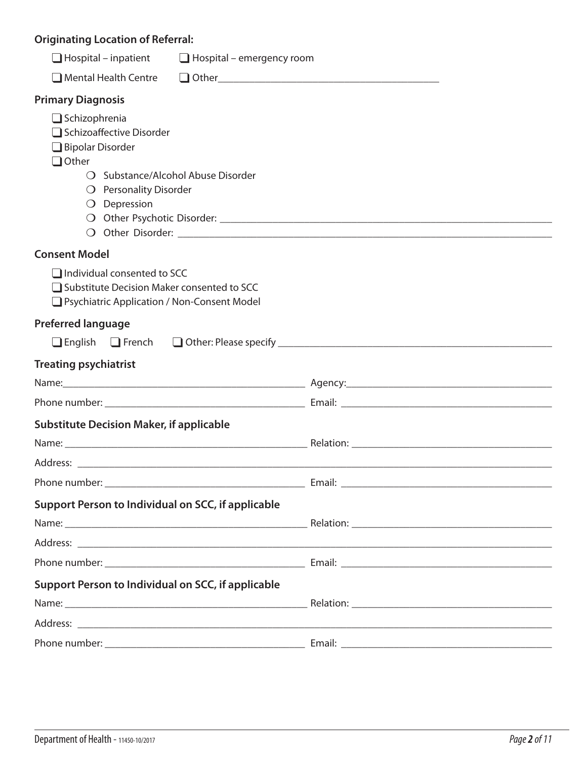## **Originating Location of Referral:**

| $\Box$ Hospital – inpatient                                                                                                                                            | $\Box$ Hospital – emergency room |
|------------------------------------------------------------------------------------------------------------------------------------------------------------------------|----------------------------------|
| $\Box$ Mental Health Centre                                                                                                                                            |                                  |
| <b>Primary Diagnosis</b>                                                                                                                                               |                                  |
| $\Box$ Schizophrenia<br>Schizoaffective Disorder<br>Bipolar Disorder<br>$\Box$ Other<br>O Substance/Alcohol Abuse Disorder<br>O Personality Disorder<br>$O$ Depression |                                  |
| <b>Consent Model</b>                                                                                                                                                   |                                  |
| $\Box$ Individual consented to SCC<br>□ Substitute Decision Maker consented to SCC<br>□ Psychiatric Application / Non-Consent Model                                    |                                  |
| <b>Preferred language</b>                                                                                                                                              |                                  |
|                                                                                                                                                                        |                                  |
| <b>Treating psychiatrist</b>                                                                                                                                           |                                  |
|                                                                                                                                                                        |                                  |
|                                                                                                                                                                        |                                  |
| <b>Substitute Decision Maker, if applicable</b>                                                                                                                        |                                  |
|                                                                                                                                                                        |                                  |
|                                                                                                                                                                        |                                  |
|                                                                                                                                                                        |                                  |
| Support Person to Individual on SCC, if applicable                                                                                                                     |                                  |
|                                                                                                                                                                        |                                  |
|                                                                                                                                                                        |                                  |
|                                                                                                                                                                        |                                  |
| Support Person to Individual on SCC, if applicable                                                                                                                     |                                  |
|                                                                                                                                                                        |                                  |
|                                                                                                                                                                        |                                  |
|                                                                                                                                                                        |                                  |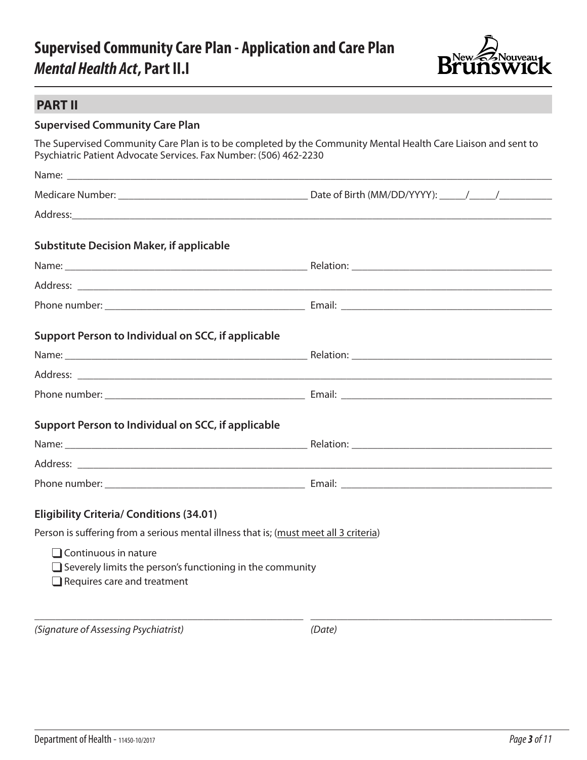## **Supervised Community Care Plan - Application and Care Plan** *Mental Health Act***, Part II.I**



### **PART II**

### **Supervised Community Care Plan**

The Supervised Community Care Plan is to be completed by the Community Mental Health Care Liaison and sent to Psychiatric Patient Advocate Services. Fax Number: (506) 462-2230

| <b>Substitute Decision Maker, if applicable</b>                                                                                       |  |
|---------------------------------------------------------------------------------------------------------------------------------------|--|
|                                                                                                                                       |  |
|                                                                                                                                       |  |
|                                                                                                                                       |  |
| Support Person to Individual on SCC, if applicable                                                                                    |  |
|                                                                                                                                       |  |
|                                                                                                                                       |  |
|                                                                                                                                       |  |
| Support Person to Individual on SCC, if applicable                                                                                    |  |
|                                                                                                                                       |  |
|                                                                                                                                       |  |
|                                                                                                                                       |  |
| <b>Eligibility Criteria/ Conditions (34.01)</b>                                                                                       |  |
| Person is suffering from a serious mental illness that is; (must meet all 3 criteria)                                                 |  |
| $\Box$ Continuous in nature<br>$\Box$ Severely limits the person's functioning in the community<br>$\Box$ Requires care and treatment |  |

*(Signature of Assessing Psychiatrist) (Date)*

\_\_\_\_\_\_\_\_\_\_\_\_\_\_\_\_\_\_\_\_\_\_\_\_\_\_\_\_\_\_\_\_\_\_\_\_\_\_\_\_\_\_\_\_\_\_\_\_\_\_\_ \_\_\_\_\_\_\_\_\_\_\_\_\_\_\_\_\_\_\_\_\_\_\_\_\_\_\_\_\_\_\_\_\_\_\_\_\_\_\_\_\_\_\_\_\_\_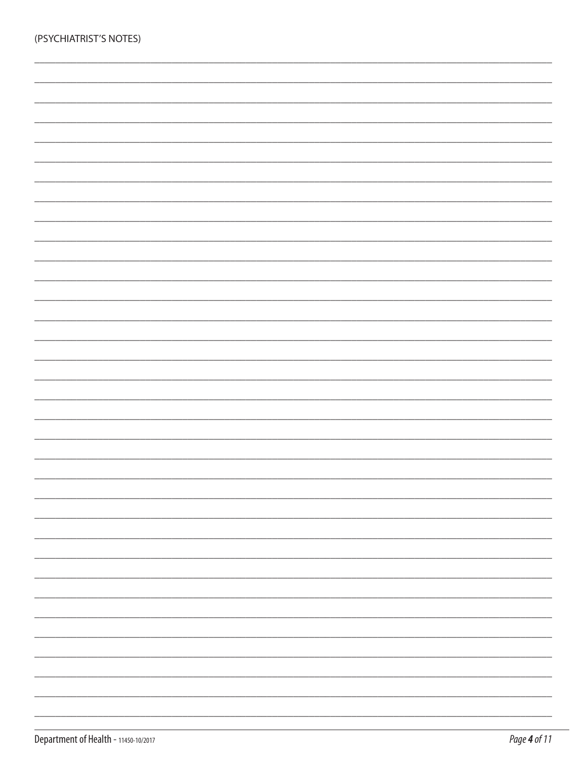| (PSYCHIATRIST'S NOTES) |  |  |  |
|------------------------|--|--|--|
|                        |  |  |  |
|                        |  |  |  |
|                        |  |  |  |
|                        |  |  |  |
|                        |  |  |  |
|                        |  |  |  |
|                        |  |  |  |
|                        |  |  |  |
|                        |  |  |  |
|                        |  |  |  |
|                        |  |  |  |
|                        |  |  |  |
|                        |  |  |  |
|                        |  |  |  |
|                        |  |  |  |
|                        |  |  |  |
|                        |  |  |  |
|                        |  |  |  |
|                        |  |  |  |
|                        |  |  |  |
|                        |  |  |  |
|                        |  |  |  |
|                        |  |  |  |
|                        |  |  |  |
|                        |  |  |  |
|                        |  |  |  |
|                        |  |  |  |
|                        |  |  |  |
|                        |  |  |  |
|                        |  |  |  |
|                        |  |  |  |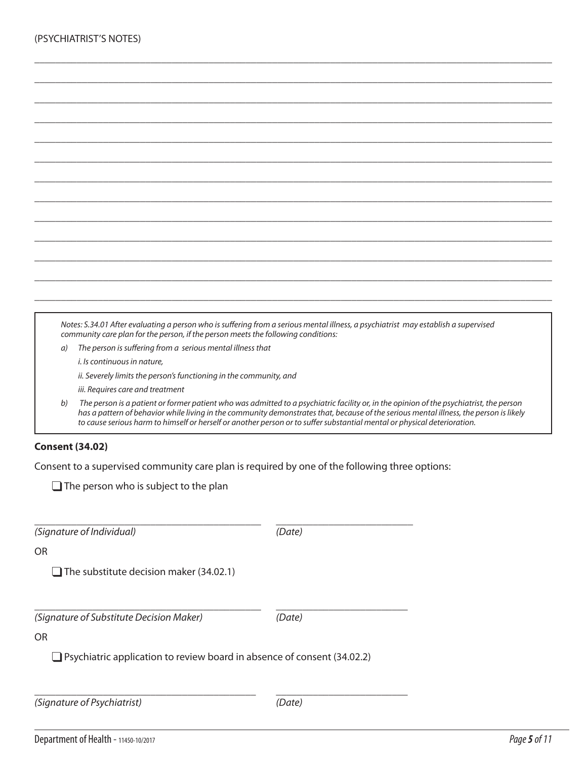|    | Notes: S.34.01 After evaluating a person who is suffering from a serious mental illness, a psychiatrist may establish a supervised<br>community care plan for the person, if the person meets the following conditions:                                                                                                                                                                                       |
|----|---------------------------------------------------------------------------------------------------------------------------------------------------------------------------------------------------------------------------------------------------------------------------------------------------------------------------------------------------------------------------------------------------------------|
| a) | The person is suffering from a serious mental illness that                                                                                                                                                                                                                                                                                                                                                    |
|    | i. Is continuous in nature,                                                                                                                                                                                                                                                                                                                                                                                   |
|    | ii. Severely limits the person's functioning in the community, and                                                                                                                                                                                                                                                                                                                                            |
|    | iii. Requires care and treatment                                                                                                                                                                                                                                                                                                                                                                              |
| b) | The person is a patient or former patient who was admitted to a psychiatric facility or, in the opinion of the psychiatrist, the person<br>has a pattern of behavior while living in the community demonstrates that, because of the serious mental illness, the person is likely<br>to cause serious harm to himself or herself or another person or to suffer substantial mental or physical deterioration. |
|    |                                                                                                                                                                                                                                                                                                                                                                                                               |

\_\_\_\_\_\_\_\_\_\_\_\_\_\_\_\_\_\_\_\_\_\_\_\_\_\_\_\_\_\_\_\_\_\_\_\_\_\_\_\_\_\_\_\_\_\_\_\_\_\_\_\_\_\_\_\_\_\_\_\_\_\_\_\_\_\_\_\_\_\_\_\_\_\_\_\_\_\_\_\_\_\_\_\_\_\_\_\_\_\_\_\_\_\_\_\_\_\_

\_\_\_\_\_\_\_\_\_\_\_\_\_\_\_\_\_\_\_\_\_\_\_\_\_\_\_\_\_\_\_\_\_\_\_\_\_\_\_\_\_\_\_\_\_\_\_\_\_\_\_\_\_\_\_\_\_\_\_\_\_\_\_\_\_\_\_\_\_\_\_\_\_\_\_\_\_\_\_\_\_\_\_\_\_\_\_\_\_\_\_\_\_\_\_\_\_\_

#### **Consent (34.02)**

Consent to a supervised community care plan is required by one of the following three options:

 $\Box$  The person who is subject to the plan

| (Signature of Individual)                                                      | (Date) |
|--------------------------------------------------------------------------------|--------|
| OR.                                                                            |        |
| $\Box$ The substitute decision maker (34.02.1)                                 |        |
|                                                                                |        |
| (Signature of Substitute Decision Maker)                                       | (Date) |
| OR.                                                                            |        |
| $\Box$ Psychiatric application to review board in absence of consent (34.02.2) |        |
|                                                                                |        |
| (Signature of Psychiatrist)                                                    | (Date) |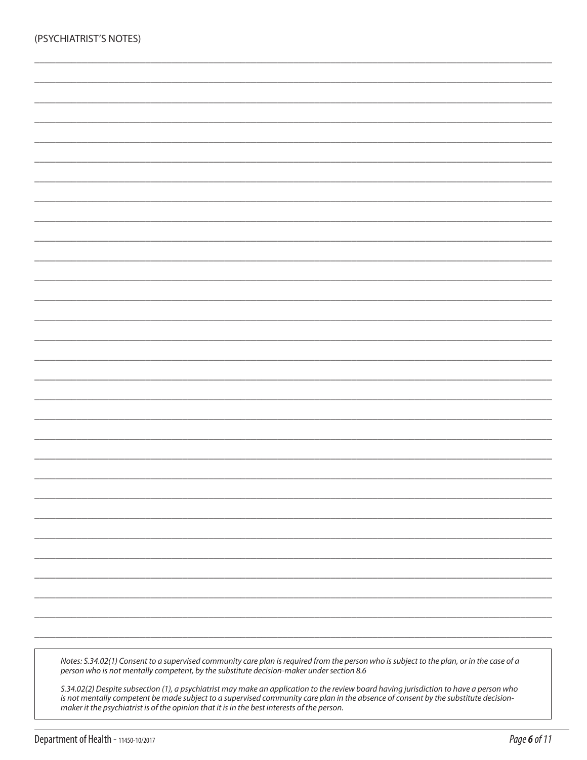| (PSYCHIATRIST'S NOTES) |  |
|------------------------|--|
|                        |  |
|                        |  |
|                        |  |
|                        |  |
|                        |  |
|                        |  |
|                        |  |
|                        |  |
|                        |  |
|                        |  |
|                        |  |
|                        |  |
|                        |  |
|                        |  |
|                        |  |
|                        |  |
|                        |  |
|                        |  |
|                        |  |
|                        |  |
|                        |  |
|                        |  |
|                        |  |
|                        |  |
|                        |  |

Notes: S.34.02(1) Consent to a supervised community care plan is required from the person who is subject to the plan, or in the case of a<br>person who is not mentally competent, by the substitute decision-maker under section

S.34.02(2) Despite subsection (1), a psychiatrist may make an application to the review board having jurisdiction to have a person who is not mentally competent be made subject to a supervised community care plan in the absence of consent by the substitute decisionmaker it the psychiatrist is of the opinion that it is in the best interests of the person.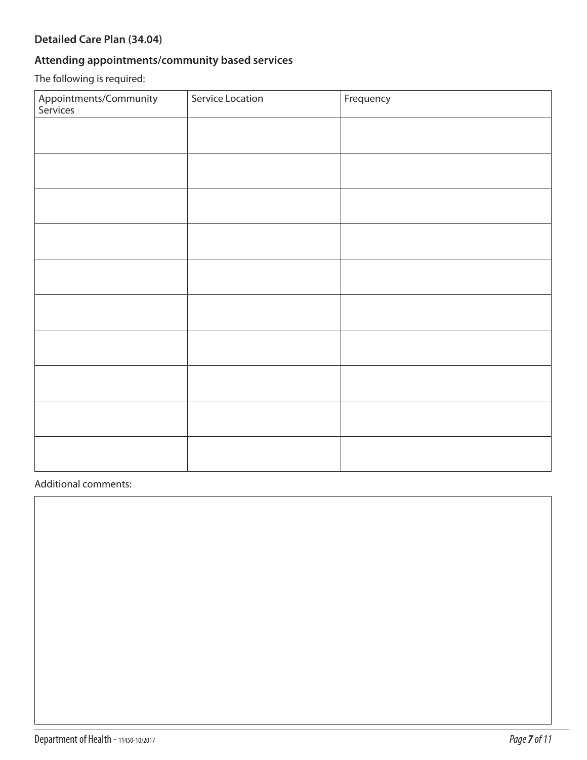### **Detailed Care Plan (34.04)**

### **Attending appointments/community based services**

The following is required:

| Appointments/Community<br>Services | Service Location | Frequency |
|------------------------------------|------------------|-----------|
|                                    |                  |           |
|                                    |                  |           |
|                                    |                  |           |
|                                    |                  |           |
|                                    |                  |           |
|                                    |                  |           |
|                                    |                  |           |
|                                    |                  |           |
|                                    |                  |           |
|                                    |                  |           |

#### Additional comments: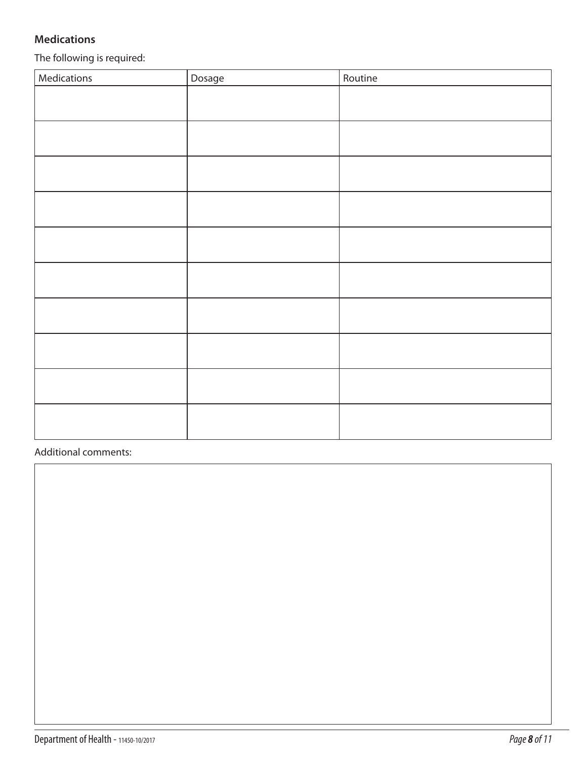### **Medications**

The following is required:

| Medications | Dosage | Routine |
|-------------|--------|---------|
|             |        |         |
|             |        |         |
|             |        |         |
|             |        |         |
|             |        |         |
|             |        |         |
|             |        |         |
|             |        |         |
|             |        |         |
|             |        |         |
|             |        |         |
|             |        |         |
|             |        |         |
|             |        |         |
|             |        |         |
|             |        |         |
|             |        |         |
|             |        |         |

Additional comments: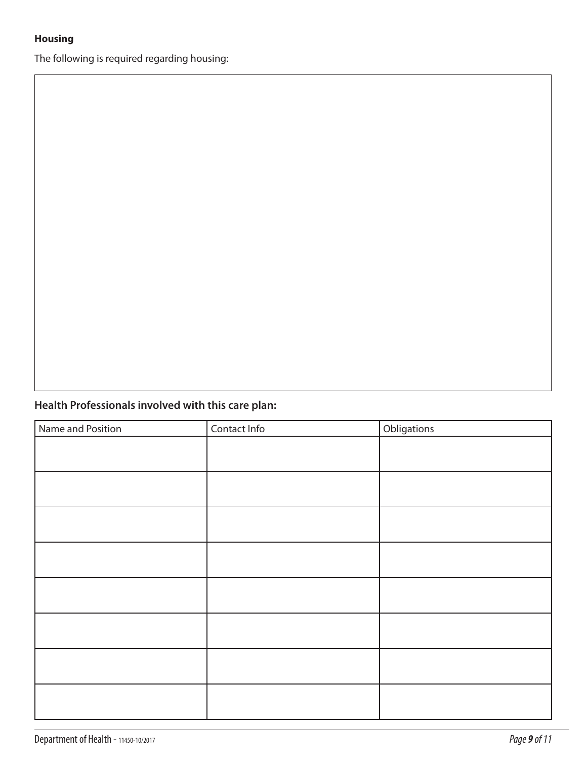### **Housing**

The following is required regarding housing:

### **Health Professionals involved with this care plan:**

| Name and Position | Contact Info | Obligations |
|-------------------|--------------|-------------|
|                   |              |             |
|                   |              |             |
|                   |              |             |
|                   |              |             |
|                   |              |             |
|                   |              |             |
|                   |              |             |
|                   |              |             |
|                   |              |             |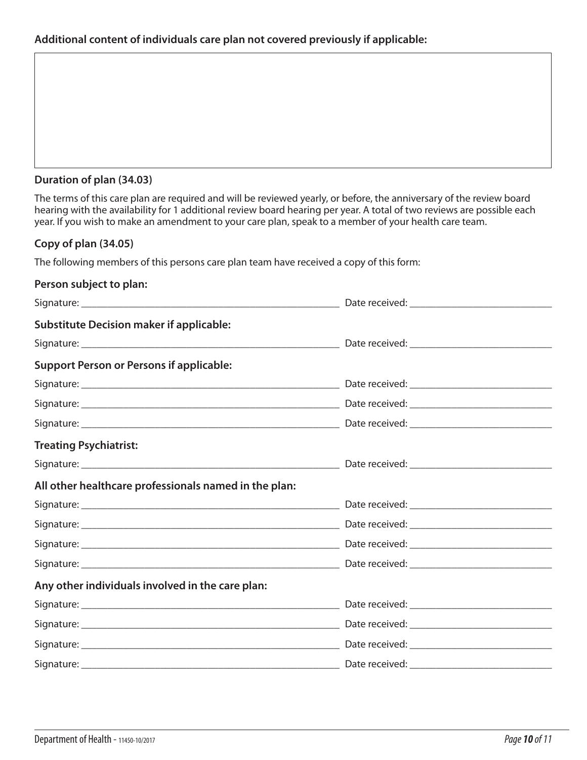#### **Duration of plan (34.03)**

The terms of this care plan are required and will be reviewed yearly, or before, the anniversary of the review board hearing with the availability for 1 additional review board hearing per year. A total of two reviews are possible each year. If you wish to make an amendment to your care plan, speak to a member of your health care team.

#### **Copy of plan (34.05)**

The following members of this persons care plan team have received a copy of this form:

| Person subject to plan:                               |  |
|-------------------------------------------------------|--|
|                                                       |  |
| <b>Substitute Decision maker if applicable:</b>       |  |
|                                                       |  |
| <b>Support Person or Persons if applicable:</b>       |  |
|                                                       |  |
|                                                       |  |
|                                                       |  |
| <b>Treating Psychiatrist:</b>                         |  |
|                                                       |  |
| All other healthcare professionals named in the plan: |  |
|                                                       |  |
|                                                       |  |
|                                                       |  |
|                                                       |  |
| Any other individuals involved in the care plan:      |  |
|                                                       |  |
|                                                       |  |
|                                                       |  |
|                                                       |  |